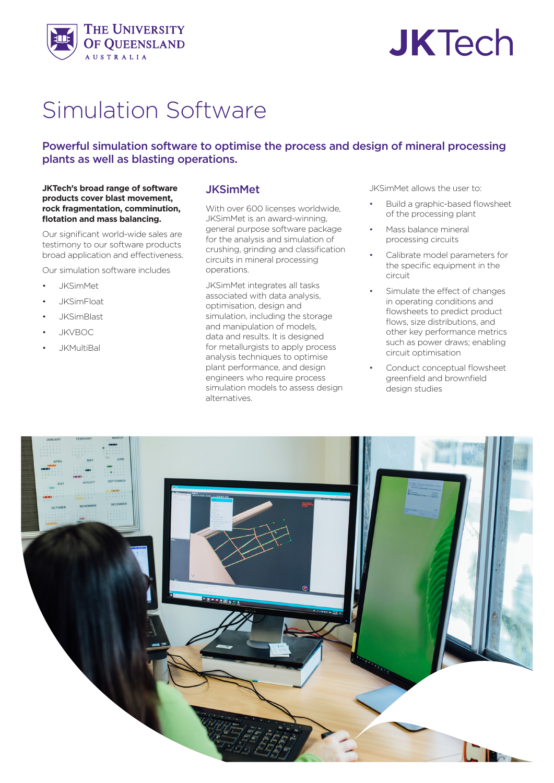

# **JKTech**

# Simulation Software

## Powerful simulation software to optimise the process and design of mineral processing plants as well as blasting operations.

#### **JKTech's broad range of software products cover blast movement, rock fragmentation, comminution, flotation and mass balancing.**

Our significant world-wide sales are testimony to our software products broad application and effectiveness.

Our simulation software includes

- JKSimMet
- JKSimFloat
- JKSimBlast
- JKVBOC
- JKMultiBal

#### JKSimMet

With over 600 licenses worldwide, JKSimMet is an award-winning, general purpose software package for the analysis and simulation of crushing, grinding and classification circuits in mineral processing operations.

JKSimMet integrates all tasks associated with data analysis, optimisation, design and simulation, including the storage and manipulation of models, data and results. It is designed for metallurgists to apply process analysis techniques to optimise plant performance, and design engineers who require process simulation models to assess design alternatives.

JKSimMet allows the user to:

- Build a graphic-based flowsheet of the processing plant
- Mass balance mineral processing circuits
- Calibrate model parameters for the specific equipment in the circuit
- Simulate the effect of changes in operating conditions and flowsheets to predict product flows, size distributions, and other key performance metrics such as power draws; enabling circuit optimisation
- Conduct conceptual flowsheet greenfield and brownfield design studies